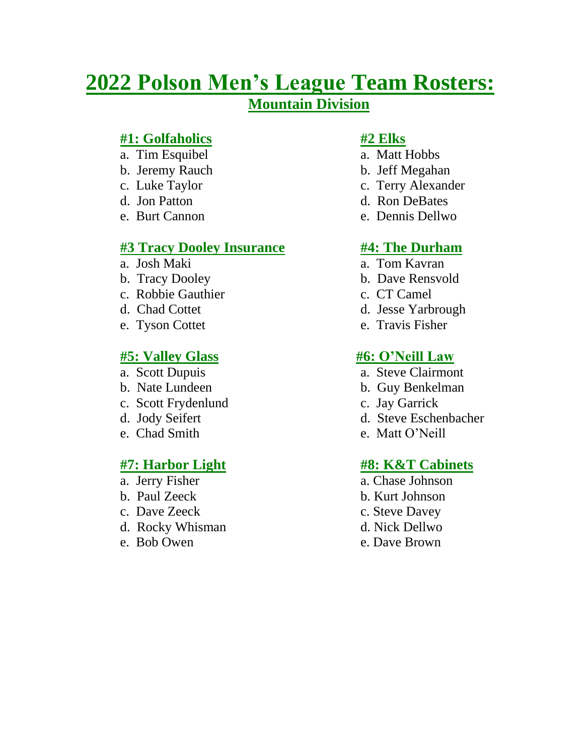# **2022 Polson Men's League Team Rosters:**

# **Mountain Division**

## **#1: Golfaholics #2 Elks**

- a. Tim Esquibel a. Matt Hobbs
- b. Jeremy Rauch b. Jeff Megahan
- 
- 
- 

# **#3 Tracy Dooley Insurance #4: The Durham**

- 
- b. Tracy Dooley b. Dave Rensvold
- c. Robbie Gauthier c. CT Camel
- 
- 

# **#5: Valley Glass #6: O'Neill Law**

- 
- 
- c. Scott Frydenlund c. Jay Garrick
- 
- 

- 
- 
- 
- d. Rocky Whisman d. Nick Dellwo
- 

- 
- 
- c. Luke Taylor **c.** Terry Alexander
- d. Jon Patton d. Ron DeBates
- e. Burt Cannon e. Dennis Dellwo

- a. Josh Maki a. Tom Kavran
	-
	-
- d. Chad Cottet d. Jesse Yarbrough
- e. Tyson Cottet e. Travis Fisher

- a. Scott Dupuis a. Steve Clairmont
- b. Nate Lundeen b. Guy Benkelman
	-
- d. Jody Seifert d. Steve Eschenbacher
- e. Chad Smith e. Matt O'Neill

### **#7: Harbor Light #8: K&T Cabinets**

- a. Jerry Fisher a. Chase Johnson
- b. Paul Zeeck b. Kurt Johnson
- c. Dave Zeeck c. Steve Davey
	-
- e. Bob Owen e. Dave Brown